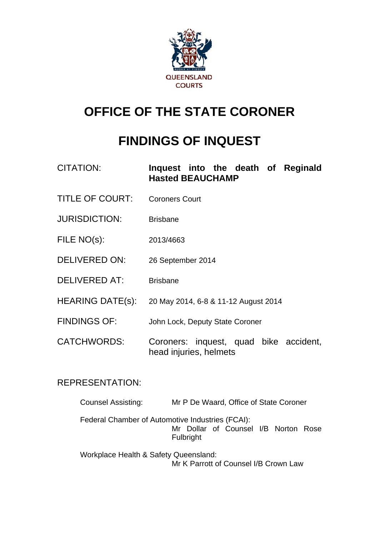

# **OFFICE OF THE STATE CORONER**

## **FINDINGS OF INQUEST**

| <b>CITATION:</b>        | Inquest into the death of Reginald<br><b>Hasted BEAUCHAMP</b>    |  |  |  |  |
|-------------------------|------------------------------------------------------------------|--|--|--|--|
| <b>TITLE OF COURT:</b>  | <b>Coroners Court</b>                                            |  |  |  |  |
| <b>JURISDICTION:</b>    | <b>Brisbane</b>                                                  |  |  |  |  |
| FILE NO(s):             | 2013/4663                                                        |  |  |  |  |
| <b>DELIVERED ON:</b>    | 26 September 2014                                                |  |  |  |  |
| <b>DELIVERED AT:</b>    | <b>Brisbane</b>                                                  |  |  |  |  |
| <b>HEARING DATE(s):</b> | 20 May 2014, 6-8 & 11-12 August 2014                             |  |  |  |  |
| <b>FINDINGS OF:</b>     | John Lock, Deputy State Coroner                                  |  |  |  |  |
| <b>CATCHWORDS:</b>      | Coroners: inquest, quad bike accident,<br>head injuries, helmets |  |  |  |  |

## REPRESENTATION:

| <b>Counsel Assisting:</b>                        |           | Mr P De Waard, Office of State Coroner |  |  |
|--------------------------------------------------|-----------|----------------------------------------|--|--|
| Federal Chamber of Automotive Industries (FCAI): |           |                                        |  |  |
|                                                  |           | Mr Dollar of Counsel I/B Norton Rose   |  |  |
|                                                  | Fulbright |                                        |  |  |
| Workplace Health & Safety Queensland:            |           |                                        |  |  |

Mr K Parrott of Counsel I/B Crown Law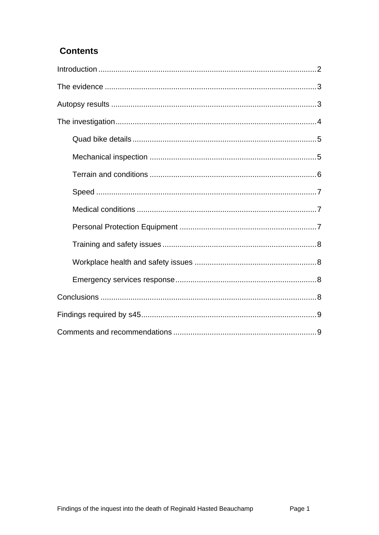## **Contents**

<span id="page-1-0"></span>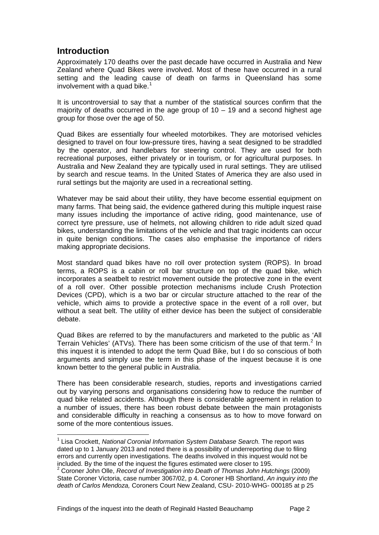## **Introduction**

l

<span id="page-2-0"></span>Approximately 170 deaths over the past decade have occurred in Australia and New Zealand where Quad Bikes were involved. Most of these have occurred in a rural setting and the leading cause of death on farms in Queensland has some involvement with a quad bike.<sup>[1](#page-1-0)</sup>

It is uncontroversial to say that a number of the statistical sources confirm that the majority of deaths occurred in the age group of  $10 - 19$  and a second highest age group for those over the age of 50.

Quad Bikes are essentially four wheeled motorbikes. They are motorised vehicles designed to travel on four low-pressure tires, having a seat designed to be straddled by the operator, and handlebars for steering control. They are used for both recreational purposes, either privately or in tourism, or for agricultural purposes. In Australia and New Zealand they are typically used in rural settings. They are utilised by search and rescue teams. In the United States of America they are also used in rural settings but the majority are used in a recreational setting.

Whatever may be said about their utility, they have become essential equipment on many farms. That being said, the evidence gathered during this multiple inquest raise many issues including the importance of active riding, good maintenance, use of correct tyre pressure, use of helmets, not allowing children to ride adult sized quad bikes, understanding the limitations of the vehicle and that tragic incidents can occur in quite benign conditions. The cases also emphasise the importance of riders making appropriate decisions.

Most standard quad bikes have no roll over protection system (ROPS). In broad terms, a ROPS is a cabin or roll bar structure on top of the quad bike, which incorporates a seatbelt to restrict movement outside the protective zone in the event of a roll over. Other possible protection mechanisms include Crush Protection Devices (CPD), which is a two bar or circular structure attached to the rear of the vehicle, which aims to provide a protective space in the event of a roll over, but without a seat belt. The utility of either device has been the subject of considerable debate.

Quad Bikes are referred to by the manufacturers and marketed to the public as 'All Terrain Vehicles' (ATVs). There has been some criticism of the use of that term.<sup>[2](#page-2-1)</sup> In this inquest it is intended to adopt the term Quad Bike, but I do so conscious of both arguments and simply use the term in this phase of the inquest because it is one known better to the general public in Australia.

There has been considerable research, studies, reports and investigations carried out by varying persons and organisations considering how to reduce the number of quad bike related accidents. Although there is considerable agreement in relation to a number of issues, there has been robust debate between the main protagonists and considerable difficulty in reaching a consensus as to how to move forward on some of the more contentious issues.

<sup>&</sup>lt;sup>1</sup> Lisa Crockett, *National Coronial Information System Database Search.* The report was dated up to 1 January 2013 and noted there is a possibility of underreporting due to filing errors and currently open investigations. The deaths involved in this inquest would not be included. By the time of the inquest the figures estimated were closer to 195. 2

<span id="page-2-1"></span><sup>&</sup>lt;sup>2</sup> Coroner John Olle, *Record of Investigation into Death of Thomas John Hutchings (2009)* State Coroner Victoria, case number 3067/02, p 4. Coroner HB Shortland, *An inquiry into the death of Carlos Mendoza,* Coroners Court New Zealand, CSU- 2010-WHG- 000185 at p 25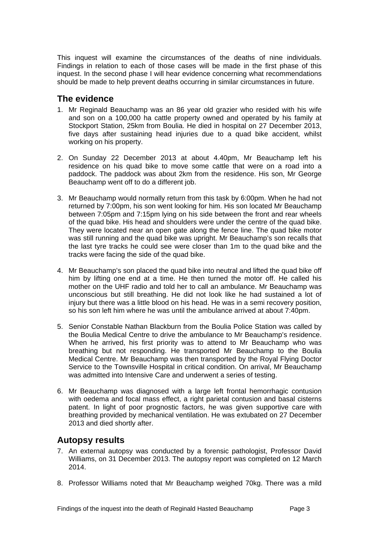This inquest will examine the circumstances of the deaths of nine individuals. Findings in relation to each of those cases will be made in the first phase of this inquest. In the second phase I will hear evidence concerning what recommendations should be made to help prevent deaths occurring in similar circumstances in future.

## <span id="page-3-0"></span>**The evidence**

- 1. Mr Reginald Beauchamp was an 86 year old grazier who resided with his wife and son on a 100,000 ha cattle property owned and operated by his family at Stockport Station, 25km from Boulia. He died in hospital on 27 December 2013, five days after sustaining head injuries due to a quad bike accident, whilst working on his property.
- 2. On Sunday 22 December 2013 at about 4.40pm, Mr Beauchamp left his residence on his quad bike to move some cattle that were on a road into a paddock. The paddock was about 2km from the residence. His son, Mr George Beauchamp went off to do a different job.
- 3. Mr Beauchamp would normally return from this task by 6:00pm. When he had not returned by 7:00pm, his son went looking for him. His son located Mr Beauchamp between 7:05pm and 7:15pm lying on his side between the front and rear wheels of the quad bike. His head and shoulders were under the centre of the quad bike. They were located near an open gate along the fence line. The quad bike motor was still running and the quad bike was upright. Mr Beauchamp's son recalls that the last tyre tracks he could see were closer than 1m to the quad bike and the tracks were facing the side of the quad bike.
- 4. Mr Beauchamp's son placed the quad bike into neutral and lifted the quad bike off him by lifting one end at a time. He then turned the motor off. He called his mother on the UHF radio and told her to call an ambulance. Mr Beauchamp was unconscious but still breathing. He did not look like he had sustained a lot of injury but there was a little blood on his head. He was in a semi recovery position, so his son left him where he was until the ambulance arrived at about 7:40pm.
- 5. Senior Constable Nathan Blackburn from the Boulia Police Station was called by the Boulia Medical Centre to drive the ambulance to Mr Beauchamp's residence. When he arrived, his first priority was to attend to Mr Beauchamp who was breathing but not responding. He transported Mr Beauchamp to the Boulia Medical Centre. Mr Beauchamp was then transported by the Royal Flying Doctor Service to the Townsville Hospital in critical condition. On arrival, Mr Beauchamp was admitted into Intensive Care and underwent a series of testing.
- 6. Mr Beauchamp was diagnosed with a large left frontal hemorrhagic contusion with oedema and focal mass effect, a right parietal contusion and basal cisterns patent. In light of poor prognostic factors, he was given supportive care with breathing provided by mechanical ventilation. He was extubated on 27 December 2013 and died shortly after.

### <span id="page-3-1"></span>**Autopsy results**

- 7. An external autopsy was conducted by a forensic pathologist, Professor David Williams, on 31 December 2013. The autopsy report was completed on 12 March 2014.
- 8. Professor Williams noted that Mr Beauchamp weighed 70kg. There was a mild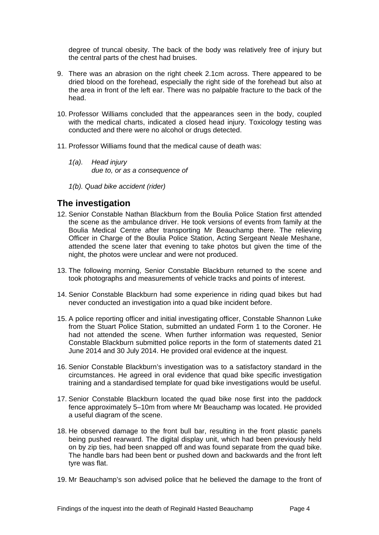degree of truncal obesity. The back of the body was relatively free of injury but the central parts of the chest had bruises.

- 9. There was an abrasion on the right cheek 2.1cm across. There appeared to be dried blood on the forehead, especially the right side of the forehead but also at the area in front of the left ear. There was no palpable fracture to the back of the head.
- 10. Professor Williams concluded that the appearances seen in the body, coupled with the medical charts, indicated a closed head injury. Toxicology testing was conducted and there were no alcohol or drugs detected.
- 11. Professor Williams found that the medical cause of death was:
	- *1(a). Head injury due to, or as a consequence of*
	- *1(b). Quad bike accident (rider)*

## <span id="page-4-0"></span>**The investigation**

- 12. Senior Constable Nathan Blackburn from the Boulia Police Station first attended the scene as the ambulance driver. He took versions of events from family at the Boulia Medical Centre after transporting Mr Beauchamp there. The relieving Officer in Charge of the Boulia Police Station, Acting Sergeant Neale Meshane, attended the scene later that evening to take photos but given the time of the night, the photos were unclear and were not produced.
- 13. The following morning, Senior Constable Blackburn returned to the scene and took photographs and measurements of vehicle tracks and points of interest.
- 14. Senior Constable Blackburn had some experience in riding quad bikes but had never conducted an investigation into a quad bike incident before.
- 15. A police reporting officer and initial investigating officer, Constable Shannon Luke from the Stuart Police Station, submitted an undated Form 1 to the Coroner. He had not attended the scene. When further information was requested, Senior Constable Blackburn submitted police reports in the form of statements dated 21 June 2014 and 30 July 2014. He provided oral evidence at the inquest.
- 16. Senior Constable Blackburn's investigation was to a satisfactory standard in the circumstances. He agreed in oral evidence that quad bike specific investigation training and a standardised template for quad bike investigations would be useful.
- 17. Senior Constable Blackburn located the quad bike nose first into the paddock fence approximately 5–10m from where Mr Beauchamp was located. He provided a useful diagram of the scene.
- 18. He observed damage to the front bull bar, resulting in the front plastic panels being pushed rearward. The digital display unit, which had been previously held on by zip ties, had been snapped off and was found separate from the quad bike. The handle bars had been bent or pushed down and backwards and the front left tyre was flat.
- 19. Mr Beauchamp's son advised police that he believed the damage to the front of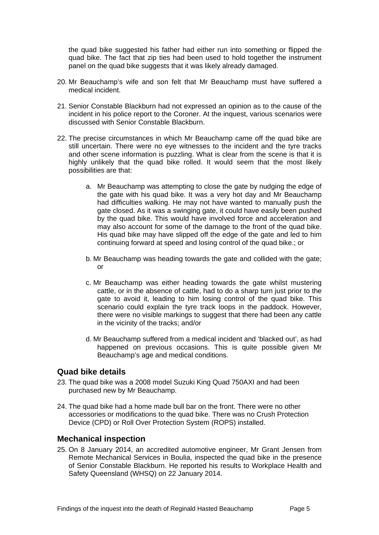the quad bike suggested his father had either run into something or flipped the quad bike. The fact that zip ties had been used to hold together the instrument panel on the quad bike suggests that it was likely already damaged.

- 20. Mr Beauchamp's wife and son felt that Mr Beauchamp must have suffered a medical incident.
- 21. Senior Constable Blackburn had not expressed an opinion as to the cause of the incident in his police report to the Coroner. At the inquest, various scenarios were discussed with Senior Constable Blackburn.
- 22. The precise circumstances in which Mr Beauchamp came off the quad bike are still uncertain. There were no eye witnesses to the incident and the tyre tracks and other scene information is puzzling. What is clear from the scene is that it is highly unlikely that the quad bike rolled. It would seem that the most likely possibilities are that:
	- a. Mr Beauchamp was attempting to close the gate by nudging the edge of the gate with his quad bike. It was a very hot day and Mr Beauchamp had difficulties walking. He may not have wanted to manually push the gate closed. As it was a swinging gate, it could have easily been pushed by the quad bike. This would have involved force and acceleration and may also account for some of the damage to the front of the quad bike. His quad bike may have slipped off the edge of the gate and led to him continuing forward at speed and losing control of the quad bike.; or
	- b. Mr Beauchamp was heading towards the gate and collided with the gate; or
	- c. Mr Beauchamp was either heading towards the gate whilst mustering cattle, or in the absence of cattle, had to do a sharp turn just prior to the gate to avoid it, leading to him losing control of the quad bike. This scenario could explain the tyre track loops in the paddock. However, there were no visible markings to suggest that there had been any cattle in the vicinity of the tracks; and/or
	- d. Mr Beauchamp suffered from a medical incident and 'blacked out', as had happened on previous occasions. This is quite possible given Mr Beauchamp's age and medical conditions.

#### <span id="page-5-0"></span>**Quad bike details**

- 23. The quad bike was a 2008 model Suzuki King Quad 750AXI and had been purchased new by Mr Beauchamp.
- 24. The quad bike had a home made bull bar on the front. There were no other accessories or modifications to the quad bike. There was no Crush Protection Device (CPD) or Roll Over Protection System (ROPS) installed.

#### <span id="page-5-1"></span>**Mechanical inspection**

25. On 8 January 2014, an accredited automotive engineer, Mr Grant Jensen from Remote Mechanical Services in Boulia, inspected the quad bike in the presence of Senior Constable Blackburn. He reported his results to Workplace Health and Safety Queensland (WHSQ) on 22 January 2014.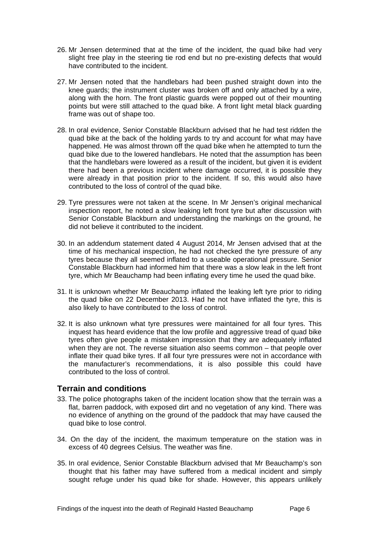- 26. Mr Jensen determined that at the time of the incident, the quad bike had very slight free play in the steering tie rod end but no pre-existing defects that would have contributed to the incident.
- 27. Mr Jensen noted that the handlebars had been pushed straight down into the knee guards; the instrument cluster was broken off and only attached by a wire, along with the horn. The front plastic guards were popped out of their mounting points but were still attached to the quad bike. A front light metal black guarding frame was out of shape too.
- 28. In oral evidence, Senior Constable Blackburn advised that he had test ridden the quad bike at the back of the holding yards to try and account for what may have happened. He was almost thrown off the quad bike when he attempted to turn the quad bike due to the lowered handlebars. He noted that the assumption has been that the handlebars were lowered as a result of the incident, but given it is evident there had been a previous incident where damage occurred, it is possible they were already in that position prior to the incident. If so, this would also have contributed to the loss of control of the quad bike.
- 29. Tyre pressures were not taken at the scene. In Mr Jensen's original mechanical inspection report, he noted a slow leaking left front tyre but after discussion with Senior Constable Blackburn and understanding the markings on the ground, he did not believe it contributed to the incident.
- 30. In an addendum statement dated 4 August 2014, Mr Jensen advised that at the time of his mechanical inspection, he had not checked the tyre pressure of any tyres because they all seemed inflated to a useable operational pressure. Senior Constable Blackburn had informed him that there was a slow leak in the left front tyre, which Mr Beauchamp had been inflating every time he used the quad bike.
- 31. It is unknown whether Mr Beauchamp inflated the leaking left tyre prior to riding the quad bike on 22 December 2013. Had he not have inflated the tyre, this is also likely to have contributed to the loss of control.
- 32. It is also unknown what tyre pressures were maintained for all four tyres. This inquest has heard evidence that the low profile and aggressive tread of quad bike tyres often give people a mistaken impression that they are adequately inflated when they are not. The reverse situation also seems common – that people over inflate their quad bike tyres. If all four tyre pressures were not in accordance with the manufacturer's recommendations, it is also possible this could have contributed to the loss of control.

#### <span id="page-6-0"></span>**Terrain and conditions**

- 33. The police photographs taken of the incident location show that the terrain was a flat, barren paddock, with exposed dirt and no vegetation of any kind. There was no evidence of anything on the ground of the paddock that may have caused the quad bike to lose control.
- 34. On the day of the incident, the maximum temperature on the station was in excess of 40 degrees Celsius. The weather was fine.
- 35. In oral evidence, Senior Constable Blackburn advised that Mr Beauchamp's son thought that his father may have suffered from a medical incident and simply sought refuge under his quad bike for shade. However, this appears unlikely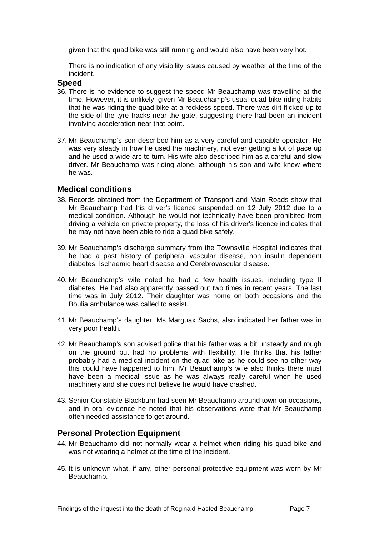given that the quad bike was still running and would also have been very hot.

There is no indication of any visibility issues caused by weather at the time of the incident.

#### <span id="page-7-0"></span>**Speed**

- 36. There is no evidence to suggest the speed Mr Beauchamp was travelling at the time. However, it is unlikely, given Mr Beauchamp's usual quad bike riding habits that he was riding the quad bike at a reckless speed. There was dirt flicked up to the side of the tyre tracks near the gate, suggesting there had been an incident involving acceleration near that point.
- 37. Mr Beauchamp's son described him as a very careful and capable operator. He was very steady in how he used the machinery, not ever getting a lot of pace up and he used a wide arc to turn. His wife also described him as a careful and slow driver. Mr Beauchamp was riding alone, although his son and wife knew where he was.

#### <span id="page-7-1"></span>**Medical conditions**

- 38. Records obtained from the Department of Transport and Main Roads show that Mr Beauchamp had his driver's licence suspended on 12 July 2012 due to a medical condition. Although he would not technically have been prohibited from driving a vehicle on private property, the loss of his driver's licence indicates that he may not have been able to ride a quad bike safely.
- 39. Mr Beauchamp's discharge summary from the Townsville Hospital indicates that he had a past history of peripheral vascular disease, non insulin dependent diabetes, Ischaemic heart disease and Cerebrovascular disease.
- 40. Mr Beauchamp's wife noted he had a few health issues, including type II diabetes. He had also apparently passed out two times in recent years. The last time was in July 2012. Their daughter was home on both occasions and the Boulia ambulance was called to assist.
- 41. Mr Beauchamp's daughter, Ms Marguax Sachs, also indicated her father was in very poor health.
- 42. Mr Beauchamp's son advised police that his father was a bit unsteady and rough on the ground but had no problems with flexibility. He thinks that his father probably had a medical incident on the quad bike as he could see no other way this could have happened to him. Mr Beauchamp's wife also thinks there must have been a medical issue as he was always really careful when he used machinery and she does not believe he would have crashed.
- 43. Senior Constable Blackburn had seen Mr Beauchamp around town on occasions, and in oral evidence he noted that his observations were that Mr Beauchamp often needed assistance to get around.

#### <span id="page-7-2"></span>**Personal Protection Equipment**

- 44. Mr Beauchamp did not normally wear a helmet when riding his quad bike and was not wearing a helmet at the time of the incident.
- 45. It is unknown what, if any, other personal protective equipment was worn by Mr Beauchamp.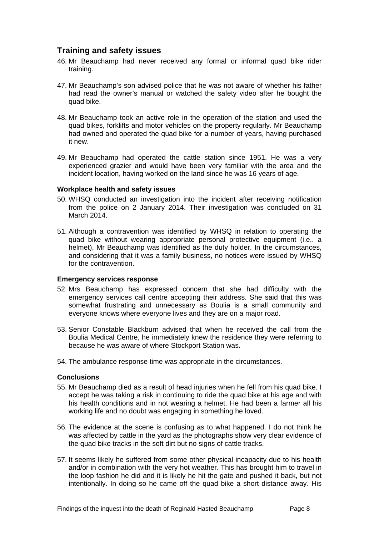### <span id="page-8-0"></span>**Training and safety issues**

- 46. Mr Beauchamp had never received any formal or informal quad bike rider training.
- 47. Mr Beauchamp's son advised police that he was not aware of whether his father had read the owner's manual or watched the safety video after he bought the quad bike.
- 48. Mr Beauchamp took an active role in the operation of the station and used the quad bikes, forklifts and motor vehicles on the property regularly. Mr Beauchamp had owned and operated the quad bike for a number of years, having purchased it new.
- 49. Mr Beauchamp had operated the cattle station since 1951. He was a very experienced grazier and would have been very familiar with the area and the incident location, having worked on the land since he was 16 years of age.

#### <span id="page-8-1"></span>**Workplace health and safety issues**

- 50. WHSQ conducted an investigation into the incident after receiving notification from the police on 2 January 2014. Their investigation was concluded on 31 March 2014.
- 51. Although a contravention was identified by WHSQ in relation to operating the quad bike without wearing appropriate personal protective equipment (i.e.. a helmet), Mr Beauchamp was identified as the duty holder. In the circumstances, and considering that it was a family business, no notices were issued by WHSQ for the contravention.

#### <span id="page-8-2"></span>**Emergency services response**

- 52. Mrs Beauchamp has expressed concern that she had difficulty with the emergency services call centre accepting their address. She said that this was somewhat frustrating and unnecessary as Boulia is a small community and everyone knows where everyone lives and they are on a major road.
- 53. Senior Constable Blackburn advised that when he received the call from the Boulia Medical Centre, he immediately knew the residence they were referring to because he was aware of where Stockport Station was.
- 54. The ambulance response time was appropriate in the circumstances.

#### <span id="page-8-3"></span>**Conclusions**

- 55. Mr Beauchamp died as a result of head injuries when he fell from his quad bike. I accept he was taking a risk in continuing to ride the quad bike at his age and with his health conditions and in not wearing a helmet. He had been a farmer all his working life and no doubt was engaging in something he loved.
- 56. The evidence at the scene is confusing as to what happened. I do not think he was affected by cattle in the yard as the photographs show very clear evidence of the quad bike tracks in the soft dirt but no signs of cattle tracks.
- 57. It seems likely he suffered from some other physical incapacity due to his health and/or in combination with the very hot weather. This has brought him to travel in the loop fashion he did and it is likely he hit the gate and pushed it back, but not intentionally. In doing so he came off the quad bike a short distance away. His